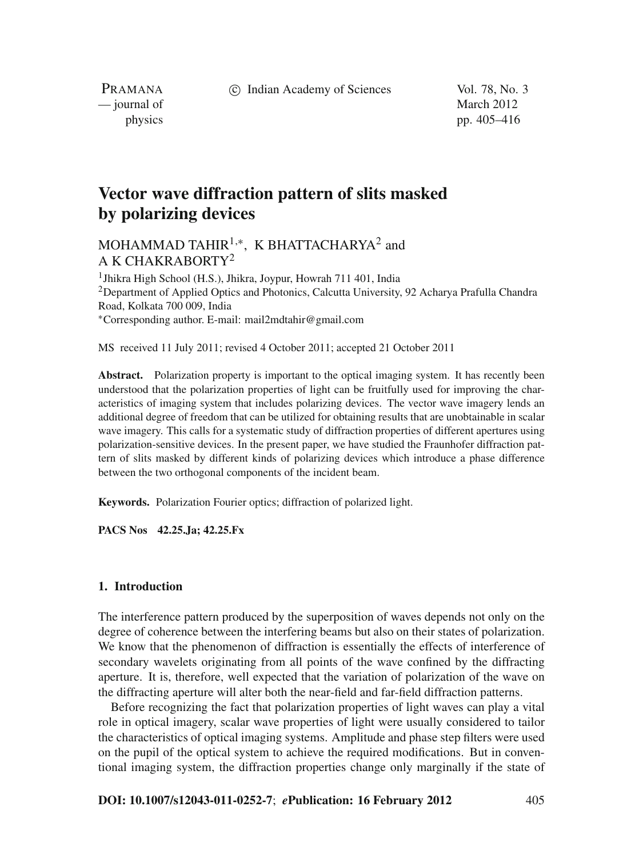c Indian Academy of Sciences Vol. 78, No. 3

PRAMANA — journal of March 2012

physics pp. 405–416

# **Vector wave diffraction pattern of slits masked by polarizing devices**

# MOHAMMAD TAHIR<sup>1,\*</sup>, K BHATTACHARYA<sup>2</sup> and A K CHAKRABORTY2

<sup>1</sup> Jhikra High School (H.S.), Jhikra, Joypur, Howrah 711 401, India <sup>2</sup>Department of Applied Optics and Photonics, Calcutta University, 92 Acharya Prafulla Chandra Road, Kolkata 700 009, India <sup>∗</sup>Corresponding author. E-mail: mail2mdtahir@gmail.com

MS received 11 July 2011; revised 4 October 2011; accepted 21 October 2011

Abstract. Polarization property is important to the optical imaging system. It has recently been understood that the polarization properties of light can be fruitfully used for improving the characteristics of imaging system that includes polarizing devices. The vector wave imagery lends an additional degree of freedom that can be utilized for obtaining results that are unobtainable in scalar wave imagery. This calls for a systematic study of diffraction properties of different apertures using polarization-sensitive devices. In the present paper, we have studied the Fraunhofer diffraction pattern of slits masked by different kinds of polarizing devices which introduce a phase difference between the two orthogonal components of the incident beam.

**Keywords.** Polarization Fourier optics; diffraction of polarized light.

**PACS Nos 42.25.Ja; 42.25.Fx**

#### **1. Introduction**

The interference pattern produced by the superposition of waves depends not only on the degree of coherence between the interfering beams but also on their states of polarization. We know that the phenomenon of diffraction is essentially the effects of interference of secondary wavelets originating from all points of the wave confined by the diffracting aperture. It is, therefore, well expected that the variation of polarization of the wave on the diffracting aperture will alter both the near-field and far-field diffraction patterns.

Before recognizing the fact that polarization properties of light waves can play a vital role in optical imagery, scalar wave properties of light were usually considered to tailor the characteristics of optical imaging systems. Amplitude and phase step filters were used on the pupil of the optical system to achieve the required modifications. But in conventional imaging system, the diffraction properties change only marginally if the state of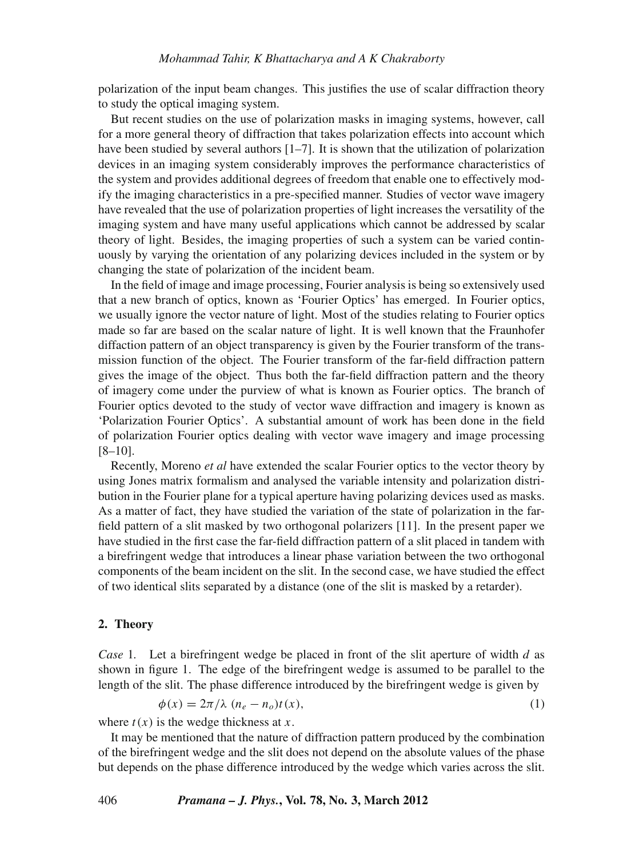polarization of the input beam changes. This justifies the use of scalar diffraction theory to study the optical imaging system.

But recent studies on the use of polarization masks in imaging systems, however, call for a more general theory of diffraction that takes polarization effects into account which have been studied by several authors  $[1-7]$ . It is shown that the utilization of polarization devices in an imaging system considerably improves the performance characteristics of the system and provides additional degrees of freedom that enable one to effectively modify the imaging characteristics in a pre-specified manner. Studies of vector wave imagery have revealed that the use of polarization properties of light increases the versatility of the imaging system and have many useful applications which cannot be addressed by scalar theory of light. Besides, the imaging properties of such a system can be varied continuously by varying the orientation of any polarizing devices included in the system or by changing the state of polarization of the incident beam.

In the field of image and image processing, Fourier analysis is being so extensively used that a new branch of optics, known as 'Fourier Optics' has emerged. In Fourier optics, we usually ignore the vector nature of light. Most of the studies relating to Fourier optics made so far are based on the scalar nature of light. It is well known that the Fraunhofer diffaction pattern of an object transparency is given by the Fourier transform of the transmission function of the object. The Fourier transform of the far-field diffraction pattern gives the image of the object. Thus both the far-field diffraction pattern and the theory of imagery come under the purview of what is known as Fourier optics. The branch of Fourier optics devoted to the study of vector wave diffraction and imagery is known as 'Polarization Fourier Optics'. A substantial amount of work has been done in the field of polarization Fourier optics dealing with vector wave imagery and image processing  $[8-10]$ .

Recently, Moreno *et al* have extended the scalar Fourier optics to the vector theory by using Jones matrix formalism and analysed the variable intensity and polarization distribution in the Fourier plane for a typical aperture having polarizing devices used as masks. As a matter of fact, they have studied the variation of the state of polarization in the farfield pattern of a slit masked by two orthogonal polarizers [11]. In the present paper we have studied in the first case the far-field diffraction pattern of a slit placed in tandem with a birefringent wedge that introduces a linear phase variation between the two orthogonal components of the beam incident on the slit. In the second case, we have studied the effect of two identical slits separated by a distance (one of the slit is masked by a retarder).

#### **2. Theory**

*Case* 1*.* Let a birefringent wedge be placed in front of the slit aperture of width *d* as shown in figure 1. The edge of the birefringent wedge is assumed to be parallel to the length of the slit. The phase difference introduced by the birefringent wedge is given by

$$
\phi(x) = 2\pi/\lambda \ (n_e - n_o)t(x),\tag{1}
$$

where  $t(x)$  is the wedge thickness at  $x$ .

It may be mentioned that the nature of diffraction pattern produced by the combination of the birefringent wedge and the slit does not depend on the absolute values of the phase but depends on the phase difference introduced by the wedge which varies across the slit.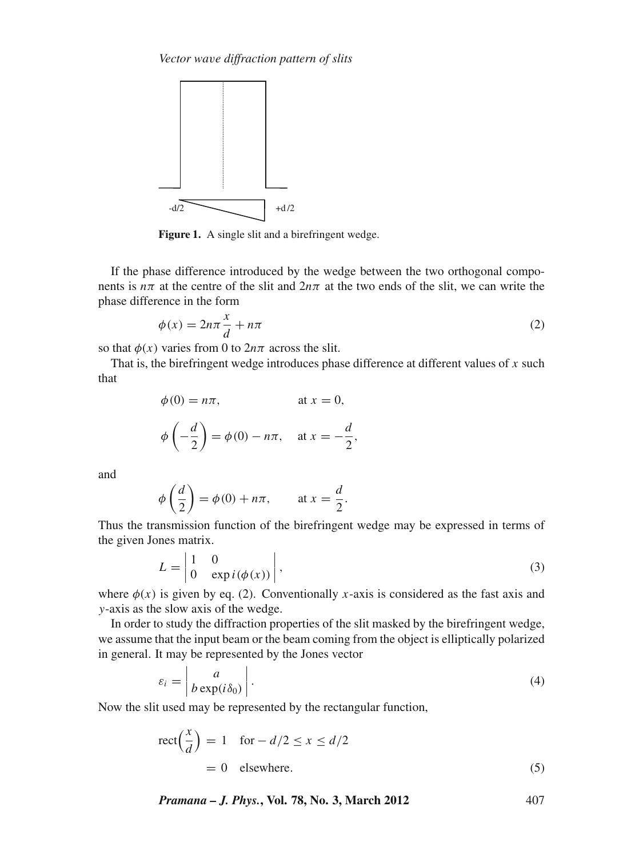

Figure 1. A single slit and a birefringent wedge.

If the phase difference introduced by the wedge between the two orthogonal components is  $n\pi$  at the centre of the slit and  $2n\pi$  at the two ends of the slit, we can write the phase difference in the form

$$
\phi(x) = 2n\pi \frac{x}{d} + n\pi \tag{2}
$$

so that  $\phi(x)$  varies from 0 to  $2n\pi$  across the slit.

That is, the birefringent wedge introduces phase difference at different values of *x* such that

$$
\phi(0) = n\pi, \qquad \text{at } x = 0,
$$
  

$$
\phi\left(-\frac{d}{2}\right) = \phi(0) - n\pi, \quad \text{at } x = -\frac{d}{2},
$$

and

$$
\phi\left(\frac{d}{2}\right) = \phi(0) + n\pi, \quad \text{at } x = \frac{d}{2}.
$$

Thus the transmission function of the birefringent wedge may be expressed in terms of the given Jones matrix.

$$
L = \begin{vmatrix} 1 & 0 \\ 0 & \exp(i(\phi(x))) \end{vmatrix},
$$
 (3)

where  $\phi(x)$  is given by eq. (2). Conventionally *x*-axis is considered as the fast axis and *y*-axis as the slow axis of the wedge.

In order to study the diffraction properties of the slit masked by the birefringent wedge, we assume that the input beam or the beam coming from the object is elliptically polarized in general. It may be represented by the Jones vector

$$
\varepsilon_i = \left| \frac{a}{b \exp(i\delta_0)} \right|.
$$
\n(4)

Now the slit used may be represented by the rectangular function,

$$
\text{rect}\left(\frac{x}{d}\right) = 1 \quad \text{for } -d/2 \le x \le d/2
$$
\n
$$
= 0 \quad \text{elsewhere.} \tag{5}
$$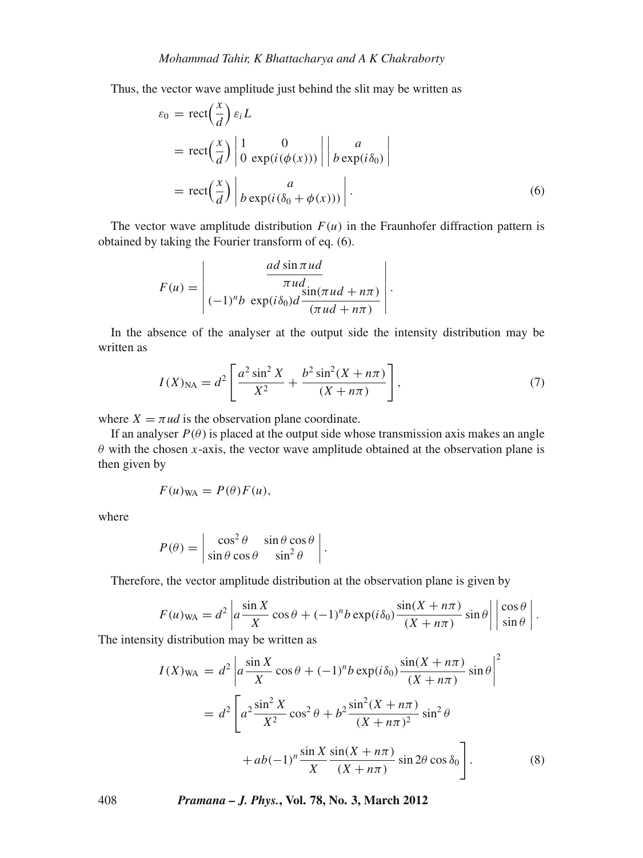Thus, the vector wave amplitude just behind the slit may be written as

$$
\varepsilon_0 = \text{rect}\left(\frac{x}{d}\right) \varepsilon_i L
$$
  
= 
$$
\text{rect}\left(\frac{x}{d}\right) \begin{vmatrix} 1 & 0 \\ 0 & \exp(i(\phi(x))) \end{vmatrix} \begin{vmatrix} a \\ b \exp(i\delta_0) \end{vmatrix}
$$
  
= 
$$
\text{rect}\left(\frac{x}{d}\right) \begin{vmatrix} a \\ b \exp(i(\delta_0 + \phi(x))) \end{vmatrix}.
$$
 (6)

The vector wave amplitude distribution  $F(u)$  in the Fraunhofer diffraction pattern is obtained by taking the Fourier transform of eq. (6).

$$
F(u) = \begin{vmatrix} \frac{ad \sin \pi u d}{\pi u d} \\ (-1)^n b \exp(i\delta_0) d \frac{\sin(\pi u d + n\pi)}{(\pi u d + n\pi)} \end{vmatrix}.
$$

In the absence of the analyser at the output side the intensity distribution may be written as

$$
I(X)_{\text{NA}} = d^2 \left[ \frac{a^2 \sin^2 X}{X^2} + \frac{b^2 \sin^2(X + n\pi)}{(X + n\pi)} \right],\tag{7}
$$

where  $X = \pi ud$  is the observation plane coordinate.

If an analyser  $P(\theta)$  is placed at the output side whose transmission axis makes an angle  $\theta$  with the chosen *x*-axis, the vector wave amplitude obtained at the observation plane is then given by

$$
F(u)_{WA} = P(\theta)F(u),
$$

where

$$
P(\theta) = \begin{vmatrix} \cos^2 \theta & \sin \theta \cos \theta \\ \sin \theta \cos \theta & \sin^2 \theta \end{vmatrix}.
$$

Therefore, the vector amplitude distribution at the observation plane is given by

$$
F(u)_{\text{WA}} = d^2 \left| a \frac{\sin X}{X} \cos \theta + (-1)^n b \exp(i\delta_0) \frac{\sin(X + n\pi)}{(X + n\pi)} \sin \theta \right| \left| \frac{\cos \theta}{\sin \theta} \right|.
$$

The intensity distribution may be written as

$$
I(X)_{WA} = d2 \left| a \frac{\sin X}{X} \cos \theta + (-1)^n b \exp(i\delta_0) \frac{\sin(X + n\pi)}{(X + n\pi)} \sin \theta \right|^2
$$
  
= 
$$
d2 \left[ a^2 \frac{\sin^2 X}{X^2} \cos^2 \theta + b^2 \frac{\sin^2(X + n\pi)}{(X + n\pi)^2} \sin^2 \theta + ab(-1)^n \frac{\sin X}{X} \frac{\sin(X + n\pi)}{(X + n\pi)} \sin 2\theta \cos \delta_0 \right].
$$
 (8)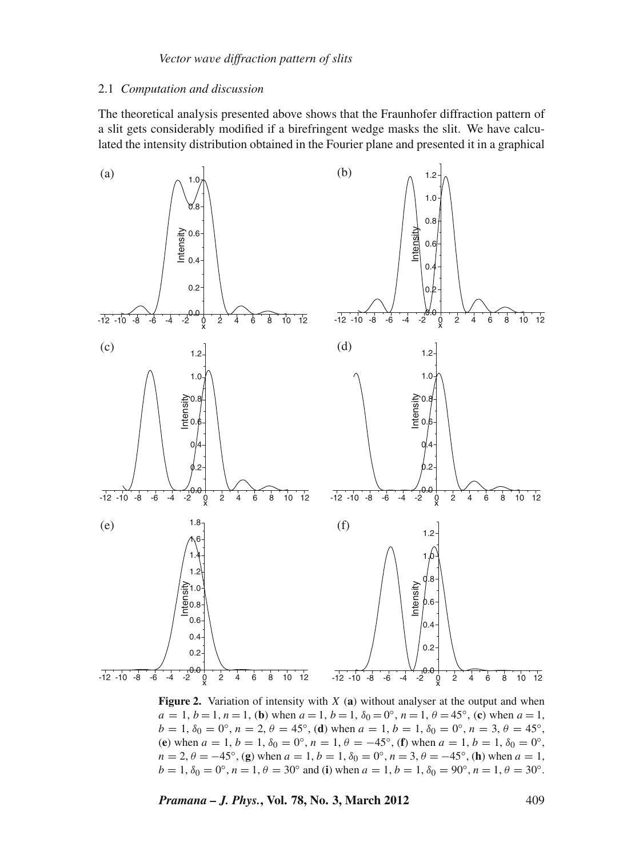#### 2.1 *Computation and discussion*

The theoretical analysis presented above shows that the Fraunhofer diffraction pattern of a slit gets considerably modified if a birefringent wedge masks the slit. We have calculated the intensity distribution obtained in the Fourier plane and presented it in a graphical



**Figure 2.** Variation of intensity with *X* (**a**) without analyser at the output and when  $a = 1, b = 1, n = 1$ , (**b**) when  $a = 1, b = 1, \delta_0 = 0^\circ$ ,  $n = 1, \theta = 45^\circ$ , (**c**) when  $a = 1$ ,  $b = 1, \delta_0 = 0$ °,  $n = 2, \theta = 45$ °, (**d**) when  $a = 1, b = 1, \delta_0 = 0$ °,  $n = 3, \theta = 45$ °, (**e**) when  $a = 1$ ,  $b = 1$ ,  $\delta_0 = 0^\circ$ ,  $n = 1$ ,  $\theta = -45^\circ$ , (**f**) when  $a = 1$ ,  $b = 1$ ,  $\delta_0 = 0^\circ$ ,  $n = 2, \theta = -45^\circ$ , (**g**) when  $a = 1, b = 1, \delta_0 = 0^\circ$ ,  $n = 3, \theta = -45^\circ$ , (**h**) when  $a = 1$ ,  $b = 1, \delta_0 = 0^\circ, n = 1, \theta = 30^\circ$  and (**i**) when  $a = 1, b = 1, \delta_0 = 90^\circ, n = 1, \theta = 30^\circ$ .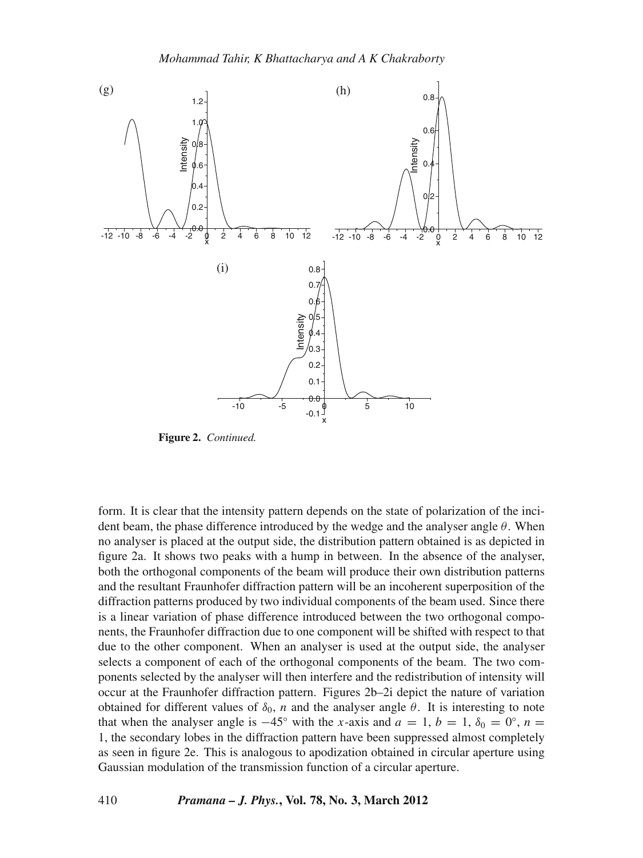

**Figure 2.** *Continued.*

form. It is clear that the intensity pattern depends on the state of polarization of the incident beam, the phase difference introduced by the wedge and the analyser angle  $\theta$ . When no analyser is placed at the output side, the distribution pattern obtained is as depicted in figure 2a. It shows two peaks with a hump in between. In the absence of the analyser, both the orthogonal components of the beam will produce their own distribution patterns and the resultant Fraunhofer diffraction pattern will be an incoherent superposition of the diffraction patterns produced by two individual components of the beam used. Since there is a linear variation of phase difference introduced between the two orthogonal components, the Fraunhofer diffraction due to one component will be shifted with respect to that due to the other component. When an analyser is used at the output side, the analyser selects a component of each of the orthogonal components of the beam. The two components selected by the analyser will then interfere and the redistribution of intensity will occur at the Fraunhofer diffraction pattern. Figures 2b–2i depict the nature of variation obtained for different values of  $\delta_0$ , *n* and the analyser angle  $\theta$ . It is interesting to note that when the analyser angle is  $-45°$  with the *x*-axis and  $a = 1, b = 1, \delta_0 = 0°, n = 1$ 1, the secondary lobes in the diffraction pattern have been suppressed almost completely as seen in figure 2e. This is analogous to apodization obtained in circular aperture using Gaussian modulation of the transmission function of a circular aperture.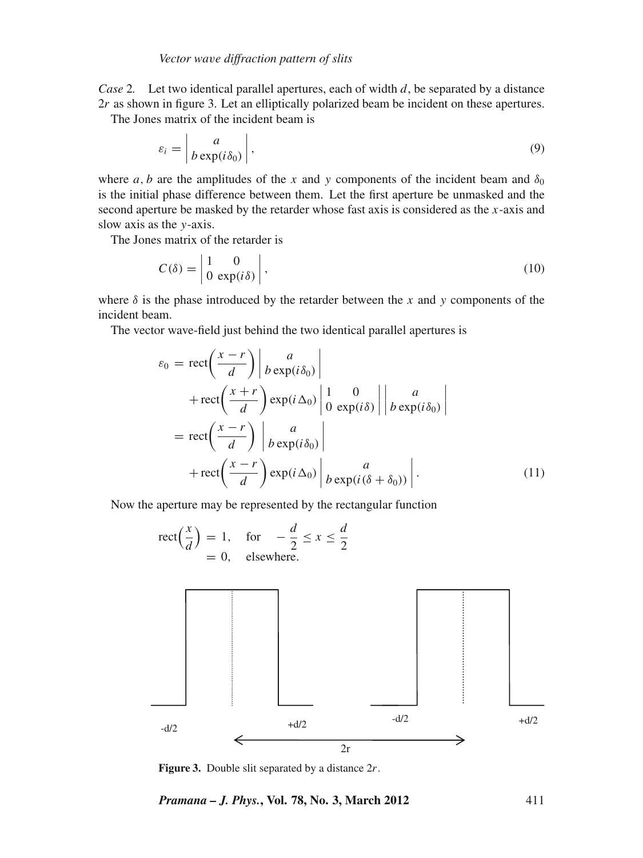*Case* 2*.* Let two identical parallel apertures, each of width *d*, be separated by a distance 2*r* as shown in figure 3. Let an elliptically polarized beam be incident on these apertures.

The Jones matrix of the incident beam is

$$
\varepsilon_i = \left| \frac{a}{b \exp(i\delta_0)} \right|,\tag{9}
$$

where *a*, *b* are the amplitudes of the *x* and *y* components of the incident beam and  $\delta_0$ is the initial phase difference between them. Let the first aperture be unmasked and the second aperture be masked by the retarder whose fast axis is considered as the *x*-axis and slow axis as the *y*-axis.

The Jones matrix of the retarder is

$$
C(\delta) = \begin{vmatrix} 1 & 0 \\ 0 & \exp(i\delta) \end{vmatrix},
$$
 (10)

where  $\delta$  is the phase introduced by the retarder between the *x* and *y* components of the incident beam.

The vector wave-field just behind the two identical parallel apertures is

$$
\varepsilon_0 = \text{rect}\left(\frac{x-r}{d}\right) \begin{vmatrix} a \\ b \exp(i\delta_0) \end{vmatrix} + \text{rect}\left(\frac{x+r}{d}\right) \exp(i\Delta_0) \begin{vmatrix} 1 & 0 \\ 0 & \exp(i\delta) \end{vmatrix} \begin{vmatrix} a \\ b \exp(i\delta_0) \end{vmatrix}
$$
  
=  $\text{rect}\left(\frac{x-r}{d}\right) \begin{vmatrix} a \\ b \exp(i\delta_0) \end{vmatrix}$   
+  $\text{rect}\left(\frac{x-r}{d}\right) \exp(i\Delta_0) \begin{vmatrix} a \\ b \exp(i(\delta+\delta_0)) \end{vmatrix}$ . (11)

Now the aperture may be represented by the rectangular function



**Figure 3.** Double slit separated by a distance 2*r*.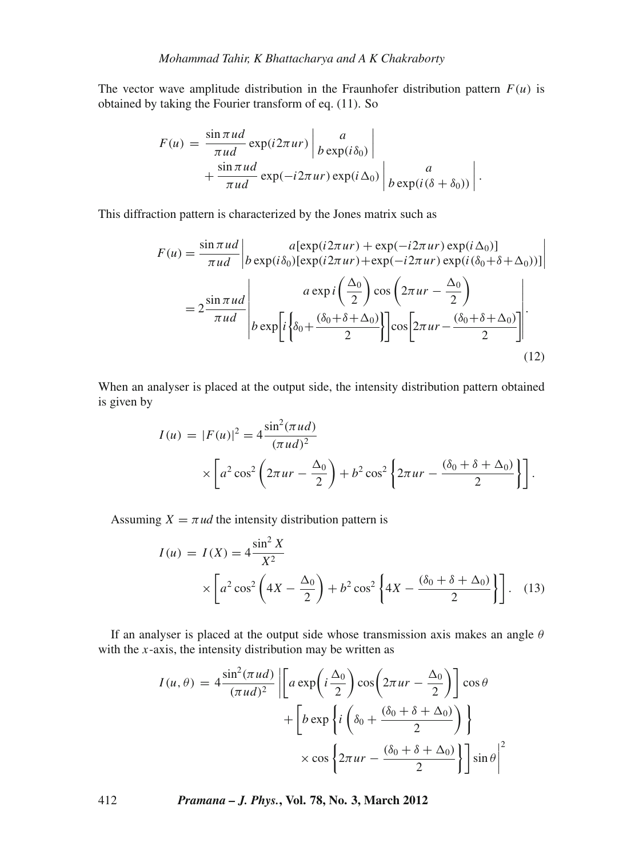The vector wave amplitude distribution in the Fraunhofer distribution pattern  $F(u)$  is obtained by taking the Fourier transform of eq. (11). So

$$
F(u) = \frac{\sin \pi u d}{\pi u d} \exp(i2\pi u r) \begin{vmatrix} a \\ b \exp(i\delta_0) \end{vmatrix} + \frac{\sin \pi u d}{\pi u d} \exp(-i2\pi u r) \exp(i\Delta_0) \begin{vmatrix} a \\ b \exp(i(\delta + \delta_0)) \end{vmatrix}.
$$

This diffraction pattern is characterized by the Jones matrix such as

$$
F(u) = \frac{\sin \pi u d}{\pi u d} \bigg|_{b \exp(i\delta_0) [\exp(i2\pi ur) + \exp(-i2\pi ur) \exp(i\Delta_0)]} a[\exp(i\delta_0) [\exp(i2\pi ur) + \exp(-i2\pi ur) \exp(i(\delta_0 + \delta + \Delta_0))] \bigg|_{a \exp i \left(\frac{\Delta_0}{2}\right) \cos\left(2\pi ur - \frac{\Delta_0}{2}\right)}
$$
\n
$$
= 2 \frac{\sin \pi u d}{\pi u d} \bigg|_{b \exp\left[i\left\{\delta_0 + \frac{(\delta_0 + \delta + \Delta_0)}{2}\right\}\right] \cos\left[2\pi ur - \frac{(\delta_0 + \delta + \Delta_0)}{2}\right]} \bigg|.
$$
\n(12)

When an analyser is placed at the output side, the intensity distribution pattern obtained is given by

$$
I(u) = |F(u)|^2 = 4 \frac{\sin^2(\pi u d)}{(\pi u d)^2}
$$

$$
\times \left[ a^2 \cos^2 \left( 2\pi u r - \frac{\Delta_0}{2} \right) + b^2 \cos^2 \left\{ 2\pi u r - \frac{(\delta_0 + \delta + \Delta_0)}{2} \right\} \right].
$$

Assuming  $X = \pi ud$  the intensity distribution pattern is

$$
I(u) = I(X) = 4 \frac{\sin^2 X}{X^2}
$$
  
 
$$
\times \left[ a^2 \cos^2 \left( 4X - \frac{\Delta_0}{2} \right) + b^2 \cos^2 \left\{ 4X - \frac{(\delta_0 + \delta + \Delta_0)}{2} \right\} \right].
$$
 (13)

If an analyser is placed at the output side whose transmission axis makes an angle  $\theta$ with the *x*-axis, the intensity distribution may be written as

$$
I(u, \theta) = 4 \frac{\sin^2(\pi u d)}{(\pi u d)^2} \left| \left[ a \exp\left( i \frac{\Delta_0}{2} \right) \cos\left( 2\pi u r - \frac{\Delta_0}{2} \right) \right] \cos \theta \right|
$$

$$
+ \left[ b \exp\left\{ i \left( \delta_0 + \frac{(\delta_0 + \delta + \Delta_0)}{2} \right) \right\}
$$

$$
\times \cos \left\{ 2\pi u r - \frac{(\delta_0 + \delta + \Delta_0)}{2} \right\} \right] \sin \theta \Big|^2
$$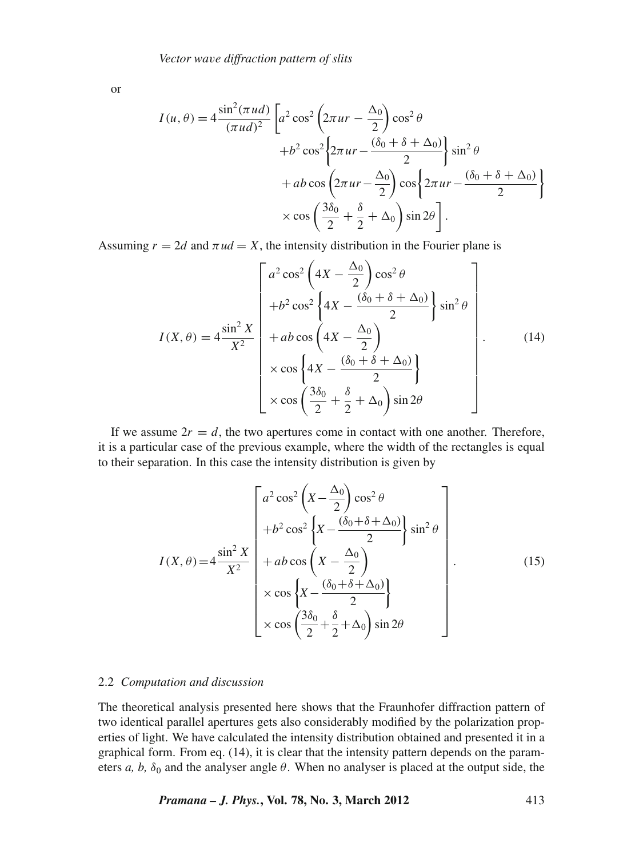or

$$
I(u, \theta) = 4 \frac{\sin^2(\pi u d)}{(\pi u d)^2} \left[ a^2 \cos^2 \left( 2\pi u r - \frac{\Delta_0}{2} \right) \cos^2 \theta + b^2 \cos^2 \left\{ 2\pi u r - \frac{(\delta_0 + \delta + \Delta_0)}{2} \right\} \sin^2 \theta + ab \cos \left( 2\pi u r - \frac{\Delta_0}{2} \right) \cos \left\{ 2\pi u r - \frac{(\delta_0 + \delta + \Delta_0)}{2} \right\} \times \cos \left( \frac{3\delta_0}{2} + \frac{\delta}{2} + \Delta_0 \right) \sin 2\theta \right].
$$

Assuming  $r = 2d$  and  $\pi ud = X$ , the intensity distribution in the Fourier plane is

$$
I(X,\theta) = 4 \frac{\sin^2 X}{X^2} \begin{bmatrix} a^2 \cos^2 \left(4X - \frac{\Delta_0}{2}\right) \cos^2 \theta \\ +b^2 \cos^2 \left\{4X - \frac{(\delta_0 + \delta + \Delta_0)}{2}\right\} \sin^2 \theta \\ +ab \cos \left(4X - \frac{\Delta_0}{2}\right) \\ \times \cos \left\{4X - \frac{(\delta_0 + \delta + \Delta_0)}{2}\right\} \\ \times \cos \left(\frac{3\delta_0}{2} + \frac{\delta}{2} + \Delta_0\right) \sin 2\theta \end{bmatrix} . \tag{14}
$$

If we assume  $2r = d$ , the two apertures come in contact with one another. Therefore, it is a particular case of the previous example, where the width of the rectangles is equal to their separation. In this case the intensity distribution is given by

$$
I(X,\theta) = 4 \frac{\sin^2 X}{X^2} \begin{bmatrix} a^2 \cos^2 \left( X - \frac{\Delta_0}{2} \right) \cos^2 \theta \\ +b^2 \cos^2 \left\{ X - \frac{(\delta_0 + \delta + \Delta_0)}{2} \right\} \sin^2 \theta \\ +ab \cos \left( X - \frac{\Delta_0}{2} \right) \\ \times \cos \left\{ X - \frac{(\delta_0 + \delta + \Delta_0)}{2} \right\} \\ \times \cos \left( \frac{3\delta_0}{2} + \frac{\delta}{2} + \Delta_0 \right) \sin 2\theta \end{bmatrix} . \tag{15}
$$

#### 2.2 *Computation and discussion*

The theoretical analysis presented here shows that the Fraunhofer diffraction pattern of two identical parallel apertures gets also considerably modified by the polarization properties of light. We have calculated the intensity distribution obtained and presented it in a graphical form. From eq. (14), it is clear that the intensity pattern depends on the parameters *a*, *b*,  $\delta_0$  and the analyser angle  $\theta$ . When no analyser is placed at the output side, the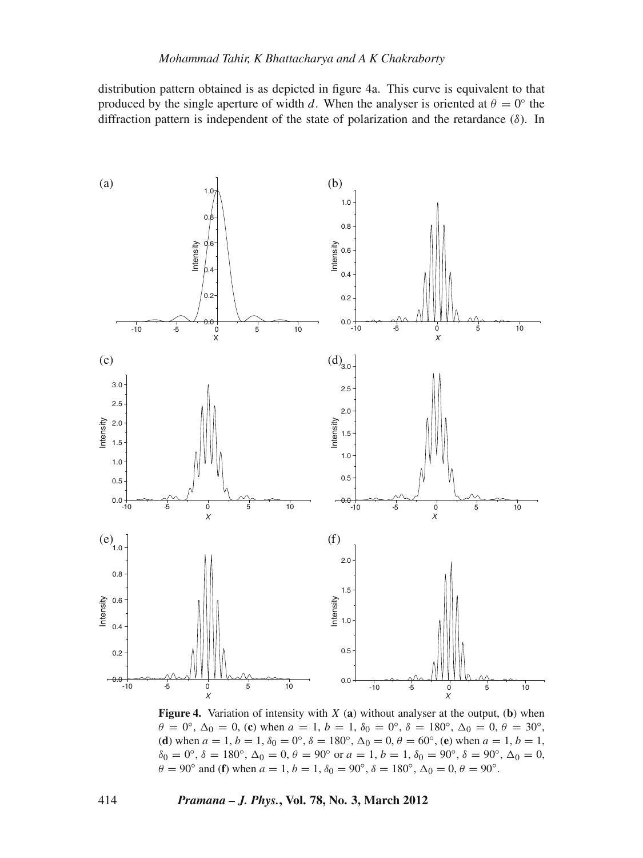distribution pattern obtained is as depicted in figure 4a. This curve is equivalent to that produced by the single aperture of width *d*. When the analyser is oriented at  $\theta = 0^\circ$  the diffraction pattern is independent of the state of polarization and the retardance  $(\delta)$ . In



**Figure 4.** Variation of intensity with *X* (**a**) without analyser at the output, (**b**) when  $\theta = 0^{\circ}, \Delta_0 = 0$ , (c) when  $a = 1, b = 1, \delta_0 = 0^{\circ}, \delta = 180^{\circ}, \Delta_0 = 0, \theta = 30^{\circ}$ , (**d**) when  $a = 1, b = 1, \delta_0 = 0^\circ$ ,  $\delta = 180^\circ$ ,  $\Delta_0 = 0, \theta = 60^\circ$ , (**e**) when  $a = 1, b = 1$ ,  $\delta_0 = 0^\circ$ ,  $\delta = 180^\circ$ ,  $\Delta_0 = 0$ ,  $\theta = 90^\circ$  or  $a = 1$ ,  $b = 1$ ,  $\delta_0 = 90^\circ$ ,  $\delta = 90^\circ$ ,  $\Delta_0 = 0$ ,  $\theta = 90^\circ$  and (**f**) when  $a = 1$ ,  $b = 1$ ,  $\delta_0 = 90^\circ$ ,  $\delta = 180^\circ$ ,  $\Delta_0 = 0$ ,  $\theta = 90^\circ$ .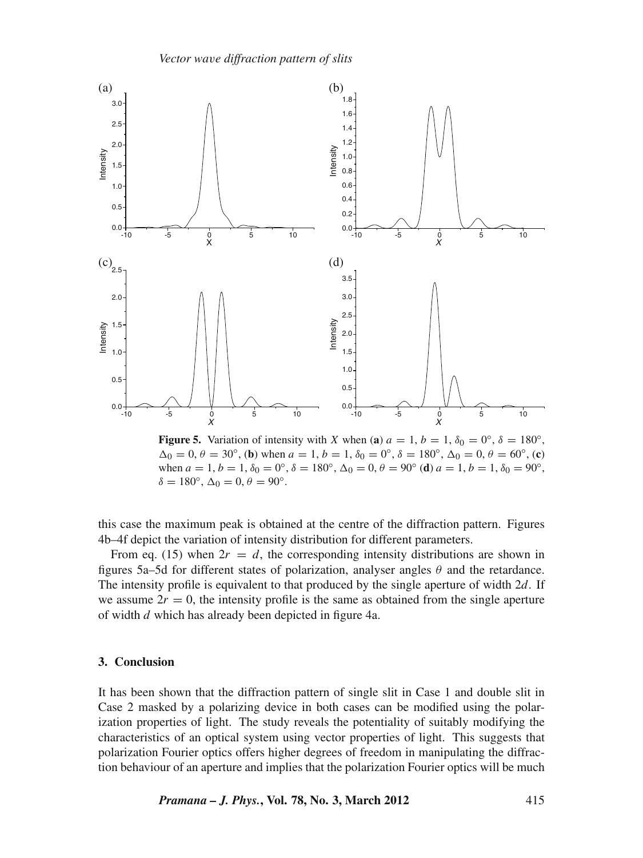*Vector wa*v*e diffraction pattern of slits*



**Figure 5.** Variation of intensity with *X* when (**a**)  $a = 1, b = 1, \delta_0 = 0$ <sup>°</sup>,  $\delta = 180$ <sup>°</sup>,  $\Delta_0 = 0, \theta = 30^\circ$ , (**b**) when  $a = 1, b = 1, \delta_0 = 0^\circ$ ,  $\delta = 180^\circ$ ,  $\Delta_0 = 0, \theta = 60^\circ$ , (**c**) when  $a = 1$ ,  $b = 1$ ,  $\delta_0 = 0^\circ$ ,  $\delta = 180^\circ$ ,  $\Delta_0 = 0$ ,  $\theta = 90^\circ$  (**d**)  $a = 1$ ,  $b = 1$ ,  $\delta_0 = 90^\circ$ ,  $\delta = 180^\circ$ ,  $\Delta_0 = 0$ ,  $\theta = 90^\circ$ .

this case the maximum peak is obtained at the centre of the diffraction pattern. Figures 4b–4f depict the variation of intensity distribution for different parameters.

From eq. (15) when  $2r = d$ , the corresponding intensity distributions are shown in figures 5a–5d for different states of polarization, analyser angles  $\theta$  and the retardance. The intensity profile is equivalent to that produced by the single aperture of width 2*d*. If we assume  $2r = 0$ , the intensity profile is the same as obtained from the single aperture of width *d* which has already been depicted in figure 4a.

### **3. Conclusion**

It has been shown that the diffraction pattern of single slit in Case 1 and double slit in Case 2 masked by a polarizing device in both cases can be modified using the polarization properties of light. The study reveals the potentiality of suitably modifying the characteristics of an optical system using vector properties of light. This suggests that polarization Fourier optics offers higher degrees of freedom in manipulating the diffraction behaviour of an aperture and implies that the polarization Fourier optics will be much